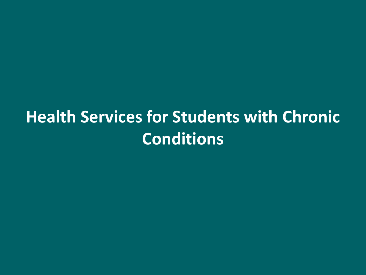# **Health Services for Students with Chronic Conditions**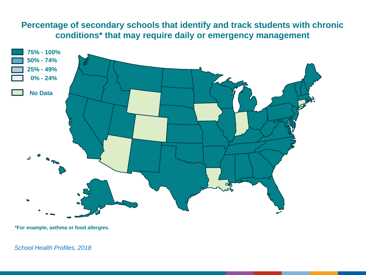## **Percentage of secondary schools that identify and track students with chronic conditions\* that may require daily or emergency management**



**\*For example, asthma or food allergies.**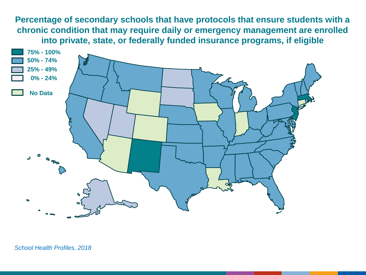**Percentage of secondary schools that have protocols that ensure students with a chronic condition that may require daily or emergency management are enrolled into private, state, or federally funded insurance programs, if eligible**

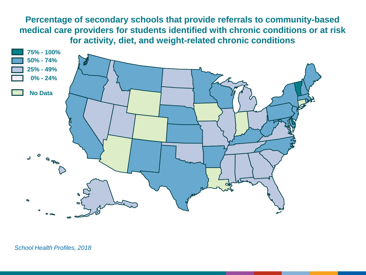**Percentage of secondary schools that provide referrals to community-based medical care providers for students identified with chronic conditions or at risk for activity, diet, and weight-related chronic conditions**

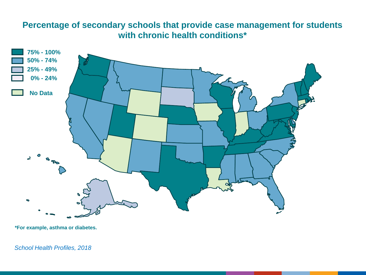## **Percentage of secondary schools that provide case management for students with chronic health conditions\***



**\*For example, asthma or diabetes.**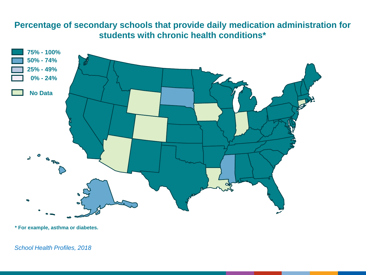# **Percentage of secondary schools that provide daily medication administration for students with chronic health conditions\***



**\* For example, asthma or diabetes.**